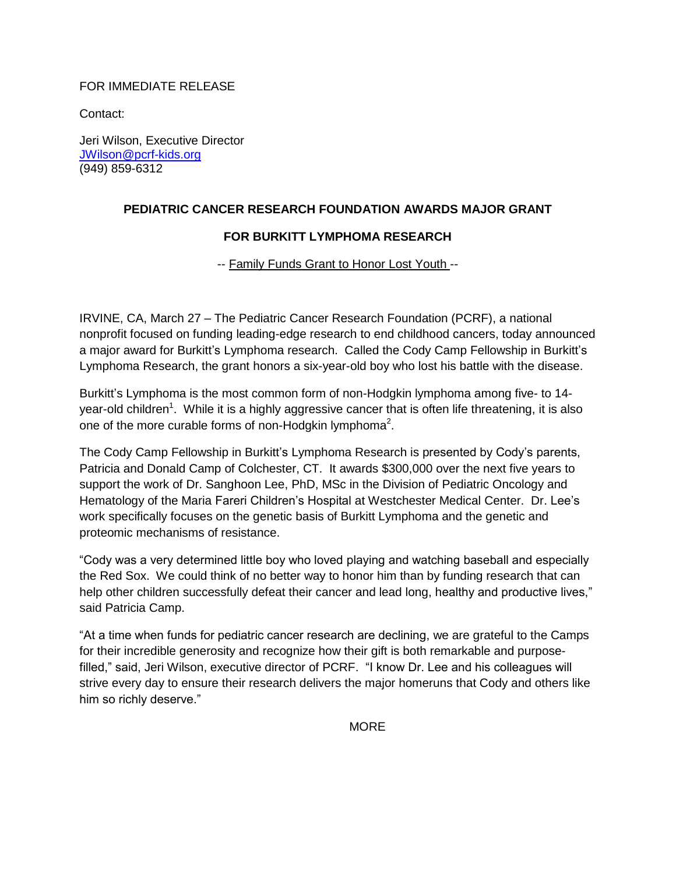## FOR IMMEDIATE RELEASE

Contact:

Jeri Wilson, Executive Director [JWilson@pcrf-kids.org](mailto:JWilson@pcrf-kids.org) (949) 859-6312

## **PEDIATRIC CANCER RESEARCH FOUNDATION AWARDS MAJOR GRANT**

## **FOR BURKITT LYMPHOMA RESEARCH**

-- Family Funds Grant to Honor Lost Youth --

IRVINE, CA, March 27 – The Pediatric Cancer Research Foundation (PCRF), a national nonprofit focused on funding leading-edge research to end childhood cancers, today announced a major award for Burkitt's Lymphoma research. Called the Cody Camp Fellowship in Burkitt's Lymphoma Research, the grant honors a six-year-old boy who lost his battle with the disease.

Burkitt's Lymphoma is the most common form of non-Hodgkin lymphoma among five- to 14 year-old children<sup>1</sup>. While it is a highly aggressive cancer that is often life threatening, it is also one of the more curable forms of non-Hodgkin lymphoma<sup>2</sup>.

The Cody Camp Fellowship in Burkitt's Lymphoma Research is presented by Cody's parents, Patricia and Donald Camp of Colchester, CT. It awards \$300,000 over the next five years to support the work of Dr. Sanghoon Lee, PhD, MSc in the Division of Pediatric Oncology and Hematology of the Maria Fareri Children's Hospital at Westchester Medical Center. Dr. Lee's work specifically focuses on the genetic basis of Burkitt Lymphoma and the genetic and proteomic mechanisms of resistance.

"Cody was a very determined little boy who loved playing and watching baseball and especially the Red Sox. We could think of no better way to honor him than by funding research that can help other children successfully defeat their cancer and lead long, healthy and productive lives," said Patricia Camp.

"At a time when funds for pediatric cancer research are declining, we are grateful to the Camps for their incredible generosity and recognize how their gift is both remarkable and purposefilled," said, Jeri Wilson, executive director of PCRF. "I know Dr. Lee and his colleagues will strive every day to ensure their research delivers the major homeruns that Cody and others like him so richly deserve."

**MORE**